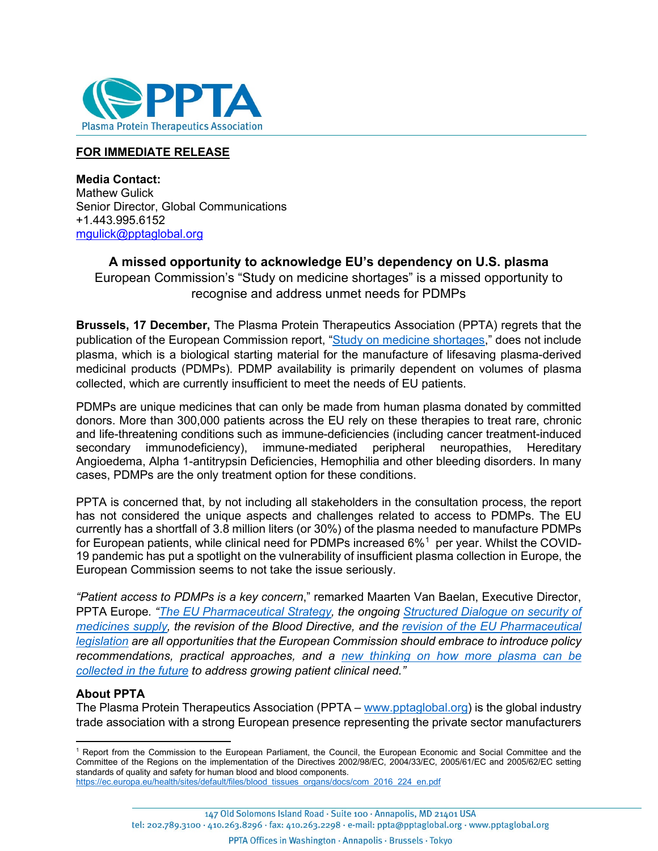

## **FOR IMMEDIATE RELEASE**

**Media Contact:** Mathew Gulick Senior Director, Global Communications +1.443.995.6152 [mgulick@pptaglobal.org](mailto:mgulick@pptaglobal.org)

## **A missed opportunity to acknowledge EU's dependency on U.S. plasma** European Commission's "Study on medicine shortages" is a missed opportunity to

recognise and address unmet needs for PDMPs

**Brussels, 17 December,** The Plasma Protein Therapeutics Association (PPTA) regrets that the publication of the European Commission report, ["Study on medicine shortages,](https://op.europa.eu/en/publication-detail/-/publication/1f8185d5-5325-11ec-91ac-01aa75ed71a1/language-en/format-PDF/source-245338952)" does not include plasma, which is a biological starting material for the manufacture of lifesaving plasma-derived medicinal products (PDMPs). PDMP availability is primarily dependent on volumes of plasma collected, which are currently insufficient to meet the needs of EU patients.

PDMPs are unique medicines that can only be made from human plasma donated by committed donors. More than 300,000 patients across the EU rely on these therapies to treat rare, chronic and life-threatening conditions such as immune-deficiencies (including cancer treatment-induced secondary immunodeficiency), immune-mediated peripheral neuropathies, Hereditary Angioedema, Alpha 1-antitrypsin Deficiencies, Hemophilia and other bleeding disorders. In many cases, PDMPs are the only treatment option for these conditions.

PPTA is concerned that, by not including all stakeholders in the consultation process, the report has not considered the unique aspects and challenges related to access to PDMPs. The EU currently has a shortfall of 3.8 million liters (or 30%) of the plasma needed to manufacture PDMPs for European patients, while clinical need for PDMPs increased 6% $^{\rm 1}$  $^{\rm 1}$  $^{\rm 1}$  per year. Whilst the COVID-19 pandemic has put a spotlight on the vulnerability of insufficient plasma collection in Europe, the European Commission seems to not take the issue seriously.

*"Patient access to PDMPs is a key concern*," remarked Maarten Van Baelan, Executive Director, PPTA Europe*. "The [EU Pharmaceutical Strategy,](https://ec.europa.eu/health/human-use/strategy_en) the ongoing [Structured Dialogue on security of](https://ec.europa.eu/health/human-use/strategy/dialogue_medicines-supply_en)  [medicines supply,](https://ec.europa.eu/health/human-use/strategy/dialogue_medicines-supply_en) the revision of the Blood Directive, and the [revision of the EU Pharmaceutical](https://ec.europa.eu/commission/presscorner/detail/en/IP_21_4882)  [legislation](https://ec.europa.eu/commission/presscorner/detail/en/IP_21_4882) are all opportunities that the European Commission should embrace to introduce policy recommendations, practical approaches, and a new thinking on [how more plasma can be](https://www.euneedsmoreplasma.com/)  [collected in the future](https://www.euneedsmoreplasma.com/) to address growing patient clinical need."*

## **About PPTA**

The Plasma Protein Therapeutics Association (PPTA – [www.pptaglobal.org\)](http://www.pptaglobal.org/) is the global industry trade association with a strong European presence representing the private sector manufacturers

<span id="page-0-0"></span><sup>1</sup> Report from the Commission to the European Parliament, the Council, the European Economic and Social Committee and the Committee of the Regions on the implementation of the Directives 2002/98/EC, 2004/33/EC, 2005/61/EC and 2005/62/EC setting standards of quality and safety for human blood and blood components. [https://ec.europa.eu/health/sites/default/files/blood\\_tissues\\_organs/docs/com\\_2016\\_224\\_en.pdf](https://ec.europa.eu/health/sites/default/files/blood_tissues_organs/docs/com_2016_224_en.pdf)